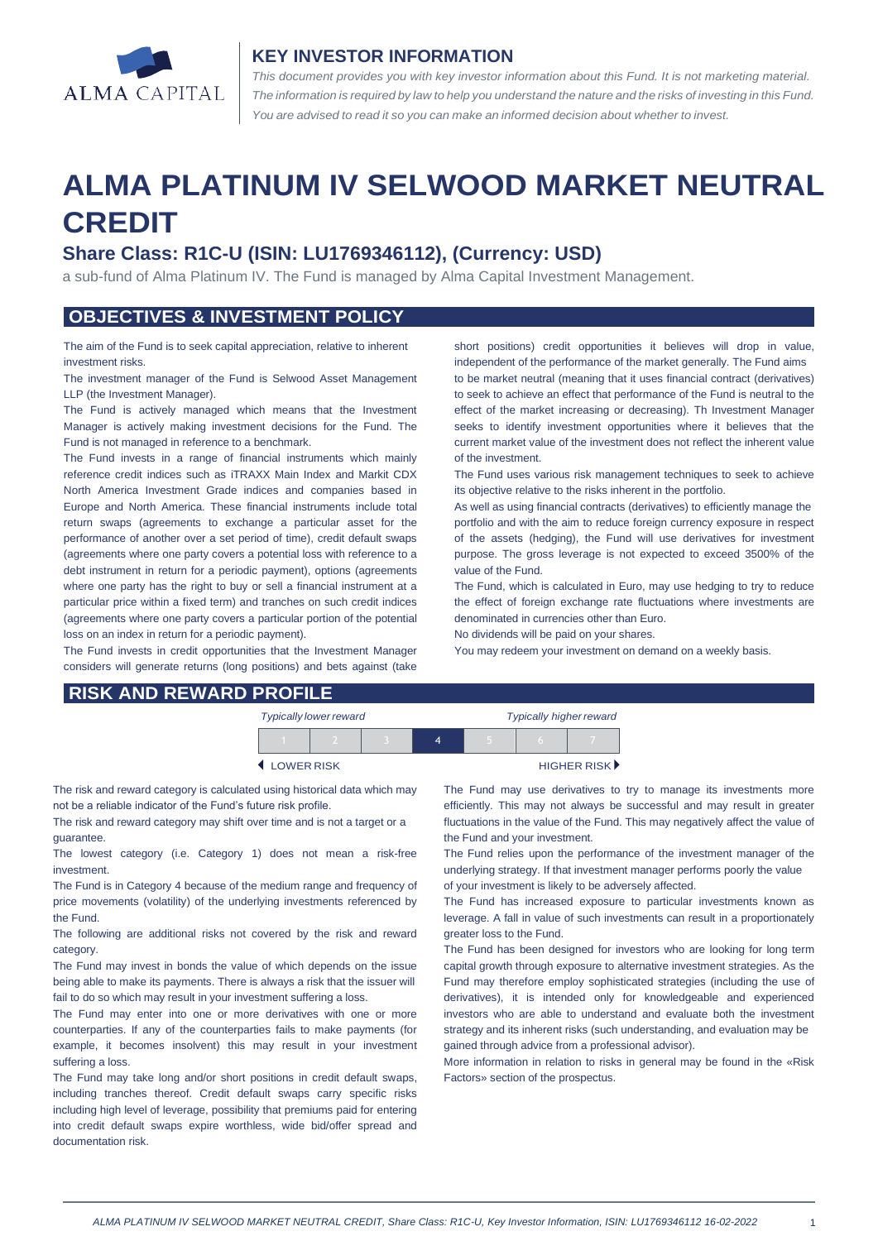

#### **KEY INVESTOR INFORMATION**

*This document provides you with key investor information about this Fund. It is not marketing material.*  The information is required by law to help you understand the nature and the risks of investing in this Fund. *You are advised to read it so you can make an informed decision about whether to invest.*

# **ALMA PLATINUM IV SELWOOD MARKET NEUTRAL CREDIT**

# **Share Class: R1C-U (ISIN: LU1769346112), (Currency: USD)**

a sub-fund of Alma Platinum IV. The Fund is managed by Alma Capital Investment Management.

### **OBJECTIVES & INVESTMENT POLICY**

The aim of the Fund is to seek capital appreciation, relative to inherent investment risks.

The investment manager of the Fund is Selwood Asset Management LLP (the Investment Manager).

The Fund is actively managed which means that the Investment Manager is actively making investment decisions for the Fund. The Fund is not managed in reference to a benchmark.

The Fund invests in a range of financial instruments which mainly reference credit indices such as iTRAXX Main Index and Markit CDX North America Investment Grade indices and companies based in Europe and North America. These financial instruments include total return swaps (agreements to exchange a particular asset for the performance of another over a set period of time), credit default swaps (agreements where one party covers a potential loss with reference to a debt instrument in return for a periodic payment), options (agreements where one party has the right to buy or sell a financial instrument at a particular price within a fixed term) and tranches on such credit indices (agreements where one party covers a particular portion of the potential loss on an index in return for a periodic payment).

The Fund invests in credit opportunities that the Investment Manager considers will generate returns (long positions) and bets against (take short positions) credit opportunities it believes will drop in value, independent of the performance of the market generally. The Fund aims to be market neutral (meaning that it uses financial contract (derivatives) to seek to achieve an effect that performance of the Fund is neutral to the effect of the market increasing or decreasing). Th Investment Manager seeks to identify investment opportunities where it believes that the current market value of the investment does not reflect the inherent value of the investment.

The Fund uses various risk management techniques to seek to achieve its objective relative to the risks inherent in the portfolio.

As well as using financial contracts (derivatives) to efficiently manage the portfolio and with the aim to reduce foreign currency exposure in respect of the assets (hedging), the Fund will use derivatives for investment purpose. The gross leverage is not expected to exceed 3500% of the value of the Fund.

The Fund, which is calculated in Euro, may use hedging to try to reduce the effect of foreign exchange rate fluctuations where investments are denominated in currencies other than Euro.

No dividends will be paid on your shares.

You may redeem your investment on demand on a weekly basis.

| <b>RISK AND REWARD PROFILE</b> |  |  |  |
|--------------------------------|--|--|--|
|--------------------------------|--|--|--|

| <b>Typically lower reward</b> |  |  |  | <b>Typically higher reward</b> |                             |
|-------------------------------|--|--|--|--------------------------------|-----------------------------|
|                               |  |  |  |                                |                             |
| LOWER RISK                    |  |  |  |                                | HIGHER RISK <sup>&gt;</sup> |

The risk and reward category is calculated using historical data which may not be a reliable indicator of the Fund's future risk profile.

The risk and reward category may shift over time and is not a target or a guarantee.

The lowest category (i.e. Category 1) does not mean a risk-free investment.

The Fund is in Category 4 because of the medium range and frequency of price movements (volatility) of the underlying investments referenced by the Fund.

The following are additional risks not covered by the risk and reward category.

The Fund may invest in bonds the value of which depends on the issue being able to make its payments. There is always a risk that the issuer will fail to do so which may result in your investment suffering a loss.

The Fund may enter into one or more derivatives with one or more counterparties. If any of the counterparties fails to make payments (for example, it becomes insolvent) this may result in your investment suffering a loss.

The Fund may take long and/or short positions in credit default swaps, including tranches thereof. Credit default swaps carry specific risks including high level of leverage, possibility that premiums paid for entering into credit default swaps expire worthless, wide bid/offer spread and documentation risk.

The Fund may use derivatives to try to manage its investments more efficiently. This may not always be successful and may result in greater fluctuations in the value of the Fund. This may negatively affect the value of the Fund and your investment.

The Fund relies upon the performance of the investment manager of the underlying strategy. If that investment manager performs poorly the value of your investment is likely to be adversely affected.

The Fund has increased exposure to particular investments known as leverage. A fall in value of such investments can result in a proportionately greater loss to the Fund.

The Fund has been designed for investors who are looking for long term capital growth through exposure to alternative investment strategies. As the Fund may therefore employ sophisticated strategies (including the use of derivatives), it is intended only for knowledgeable and experienced investors who are able to understand and evaluate both the investment strategy and its inherent risks (such understanding, and evaluation may be gained through advice from a professional advisor).

More information in relation to risks in general may be found in the «Risk Factors» section of the prospectus.